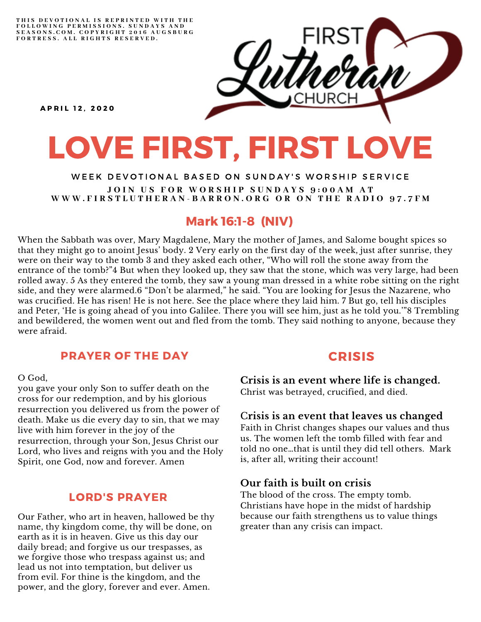THIS DEVOTIONAL IS REPRINTED WITH THE FOLLOWING PERMISSIONS. SUNDAYS AND<br>SEASONS.COM. COPYRIGHT 2016 AUGSBURG FORTRESS. ALL RIGHTS RESERVED.



**APRIL 12. 2020** 

# LOVE FIRST, FIRST LOVE

#### WEEK DEVOTIONAL BASED ON SUNDAY'S WORSHIP SERVICE JOIN US FOR WORSHIP SUNDAYS 9:00AM AT WWW.FIRSTLUTHERAN-BARRON.ORG OR ON THE RADIO 97.7FM

## Mark 16:1-8 (NIV)

When the Sabbath was over, Mary Magdalene, Mary the mother of James, and Salome bought spices so that they might go to anoint Jesus' body. 2 Very early on the first day of the week, just after sunrise, they were on their way to the tomb 3 and they asked each other, "Who will roll the stone away from the entrance of the tomb?"4 But when they looked up, they saw that the stone, which was very large, had been rolled away. 5 As they entered the tomb, they saw a young man dressed in a white robe sitting on the right side, and they were alarmed.6 "Don't be alarmed," he said. "You are looking for Jesus the Nazarene, who was crucified. He has risen! He is not here. See the place where they laid him. 7 But go, tell his disciples and Peter, 'He is going ahead of you into Galilee. There you will see him, just as he told you.'"8 Trembling and bewildered, the women went out and fled from the tomb. They said nothing to anyone, because they were afraid.

#### PRAYER OF THE DAY

O God,

you gave your only Son to suffer death on the cross for our redemption, and by his glorious resurrection you delivered us from the power of death. Make us die every day to sin, that we may live with him forever in the joy of the resurrection, through your Son, Jesus Christ our Lord, who lives and reigns with you and the Holy Spirit, one God, now and forever. Amen

#### LORD'S PRAYER

Our Father, who art in heaven, hallowed be thy name, thy kingdom come, thy will be done, on earth as it is in heaven. Give us this day our daily bread; and forgive us our trespasses, as we forgive those who trespass against us; and lead us not into temptation, but deliver us from evil. For thine is the kingdom, and the power, and the glory, forever and ever. Amen.

### CRISIS

**Crisis is an event where life is changed.** Christ was betrayed, crucified, and died.

#### C**risis is an event that leaves us changed**

Faith in Christ changes shapes our values and thus us. The women left the tomb filled with fear and told no one…that is until they did tell others. Mark is, after all, writing their account!

#### **Our faith is built on crisis**

The blood of the cross. The empty tomb. Christians have hope in the midst of hardship because our faith strengthens us to value things greater than any crisis can impact.